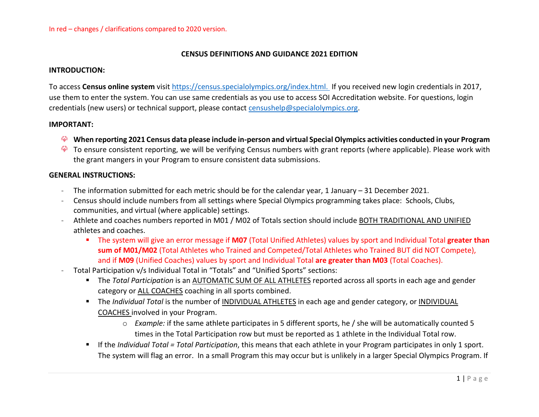#### **CENSUS DEFINITIONS AND GUIDANCE 2021 EDITION**

#### **INTRODUCTION:**

To access **Census online system** visit [https://census.specialolympics.org/index.html.](https://census.specialolympics.org/index.html) If you received new login credentials in 2017, use them to enter the system. You can use same credentials as you use to access SOI Accreditation website. For questions, login credentials (new users) or technical support, please contact [censushelp@specialolympics.org.](mailto:censushelp@specialolympics.org)

#### **IMPORTANT:**

- **When reporting 2021 Census data please include in-person and virtual Special Olympics activities conducted in your Program**
- To ensure consistent reporting, we will be verifying Census numbers with grant reports (where applicable). Please work with the grant mangers in your Program to ensure consistent data submissions.

#### **GENERAL INSTRUCTIONS:**

- The information submitted for each metric should be for the calendar year, 1 January 31 December 2021.
- Census should include numbers from all settings where Special Olympics programming takes place: Schools, Clubs, communities, and virtual (where applicable) settings.
- Athlete and coaches numbers reported in M01 / M02 of Totals section should include BOTH TRADITIONAL AND UNIFIED athletes and coaches.
	- The system will give an error message if **M07** (Total Unified Athletes) values by sport and Individual Total **greater than sum of M01/M02** (Total Athletes who Trained and Competed/Total Athletes who Trained BUT did NOT Compete), and if **M09** (Unified Coaches) values by sport and Individual Total **are greater than M03** (Total Coaches).
- Total Participation v/s Individual Total in "Totals" and "Unified Sports" sections:
	- The *Total Participation* is an AUTOMATIC SUM OF ALL ATHLETES reported across all sports in each age and gender category or ALL COACHES coaching in all sports combined.
	- The *Individual Total* is the number of INDIVIDUAL ATHLETES in each age and gender category, or INDIVIDUAL COACHES involved in your Program.
		- o *Example:* if the same athlete participates in 5 different sports, he / she will be automatically counted 5 times in the Total Participation row but must be reported as 1 athlete in the Individual Total row.
	- If the *Individual Total = Total Participation*, this means that each athlete in your Program participates in only 1 sport. The system will flag an error. In a small Program this may occur but is unlikely in a larger Special Olympics Program. If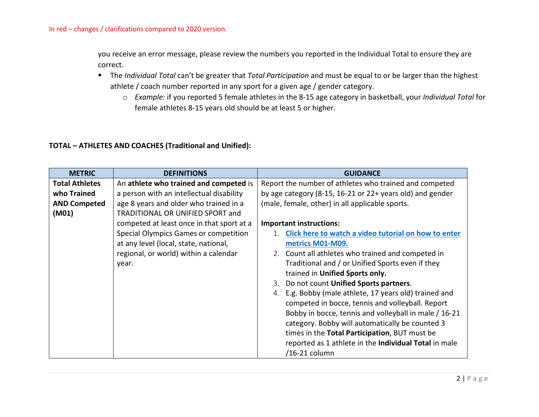you receive an error message, please review the numbers you reported in the Individual Total to ensure they are correct.

- The *Individual Total* can't be greater that *Total Participation* and must be equal to or be larger than the highest athlete / coach number reported in any sport for a given age / gender category.
	- o *Example:* if you reported 5 female athletes in the 8-15 age category in basketball, your *Individual Total* for female athletes 8-15 years old should be at least 5 or higher.

### **TOTAL – ATHLETES AND COACHES (Traditional and Unified):**

| <b>METRIC</b>         | <b>DEFINITIONS</b>                        | <b>GUIDANCE</b>                                           |
|-----------------------|-------------------------------------------|-----------------------------------------------------------|
| <b>Total Athletes</b> | An athlete who trained and competed is    | Report the number of athletes who trained and competed    |
| who Trained           | a person with an intellectual disability  | by age category (8-15, 16-21 or 22+ years old) and gender |
| <b>AND Competed</b>   | age 8 years and older who trained in a    | (male, female, other) in all applicable sports.           |
| (M01)                 | TRADITIONAL OR UNIFIED SPORT and          |                                                           |
|                       | competed at least once in that sport at a | <b>Important instructions:</b>                            |
|                       | Special Olympics Games or competition     | Click here to watch a video tutorial on how to enter      |
|                       | at any level (local, state, national,     | metrics M01-M09.                                          |
|                       | regional, or world) within a calendar     | 2. Count all athletes who trained and competed in         |
|                       | year.                                     | Traditional and / or Unified Sports even if they          |
|                       |                                           | trained in Unified Sports only.                           |
|                       |                                           | Do not count Unified Sports partners.                     |
|                       |                                           | E.g. Bobby (male athlete, 17 years old) trained and<br>4. |
|                       |                                           | competed in bocce, tennis and volleyball. Report          |
|                       |                                           | Bobby in bocce, tennis and volleyball in male / 16-21     |
|                       |                                           | category. Bobby will automatically be counted 3           |
|                       |                                           | times in the Total Participation, BUT must be             |
|                       |                                           | reported as 1 athlete in the Individual Total in male     |
|                       |                                           | /16-21 column                                             |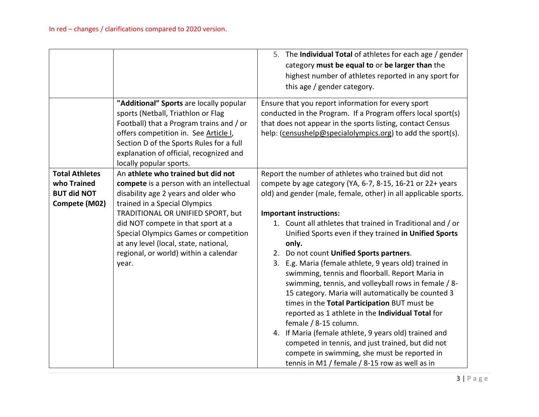|                                                                             |                                                                                                                                                                                                                                                                                                                                                                        | 5. The Individual Total of athletes for each age / gender<br>category must be equal to or be larger than the<br>highest number of athletes reported in any sport for<br>this age / gender category.                                                                                                                                                                                                                                                                                                                                                                                                                                                                                                                                                                                                                                                                                                                                                                           |
|-----------------------------------------------------------------------------|------------------------------------------------------------------------------------------------------------------------------------------------------------------------------------------------------------------------------------------------------------------------------------------------------------------------------------------------------------------------|-------------------------------------------------------------------------------------------------------------------------------------------------------------------------------------------------------------------------------------------------------------------------------------------------------------------------------------------------------------------------------------------------------------------------------------------------------------------------------------------------------------------------------------------------------------------------------------------------------------------------------------------------------------------------------------------------------------------------------------------------------------------------------------------------------------------------------------------------------------------------------------------------------------------------------------------------------------------------------|
|                                                                             | "Additional" Sports are locally popular<br>sports (Netball, Triathlon or Flag<br>Football) that a Program trains and / or<br>offers competition in. See Article I,<br>Section D of the Sports Rules for a full<br>explanation of official, recognized and<br>locally popular sports.                                                                                   | Ensure that you report information for every sport<br>conducted in the Program. If a Program offers local sport(s)<br>that does not appear in the sports listing, contact Census<br>help: (censushelp@specialolympics.org) to add the sport(s).                                                                                                                                                                                                                                                                                                                                                                                                                                                                                                                                                                                                                                                                                                                               |
| <b>Total Athletes</b><br>who Trained<br><b>BUT did NOT</b><br>Compete (M02) | An athlete who trained but did not<br>compete is a person with an intellectual<br>disability age 2 years and older who<br>trained in a Special Olympics<br>TRADITIONAL OR UNIFIED SPORT, but<br>did NOT compete in that sport at a<br>Special Olympics Games or competition<br>at any level (local, state, national,<br>regional, or world) within a calendar<br>year. | Report the number of athletes who trained but did not<br>compete by age category (YA, 6-7, 8-15, 16-21 or 22+ years<br>old) and gender (male, female, other) in all applicable sports.<br><b>Important instructions:</b><br>1. Count all athletes that trained in Traditional and / or<br>Unified Sports even if they trained in Unified Sports<br>only.<br>2. Do not count Unified Sports partners.<br>3. E.g. Maria (female athlete, 9 years old) trained in<br>swimming, tennis and floorball. Report Maria in<br>swimming, tennis, and volleyball rows in female / 8-<br>15 category. Maria will automatically be counted 3<br>times in the Total Participation BUT must be<br>reported as 1 athlete in the Individual Total for<br>female / 8-15 column.<br>4. If Maria (female athlete, 9 years old) trained and<br>competed in tennis, and just trained, but did not<br>compete in swimming, she must be reported in<br>tennis in M1 / female / 8-15 row as well as in |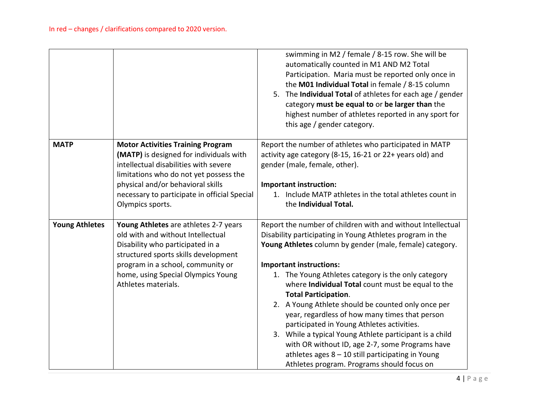|                       |                                                                                                                                                                                                                                                                                 | swimming in M2 / female / 8-15 row. She will be<br>automatically counted in M1 AND M2 Total<br>Participation. Maria must be reported only once in<br>the M01 Individual Total in female / 8-15 column<br>5. The Individual Total of athletes for each age / gender<br>category must be equal to or be larger than the<br>highest number of athletes reported in any sport for<br>this age / gender category.                                                                                                                                                                                                                                                                                                                               |
|-----------------------|---------------------------------------------------------------------------------------------------------------------------------------------------------------------------------------------------------------------------------------------------------------------------------|--------------------------------------------------------------------------------------------------------------------------------------------------------------------------------------------------------------------------------------------------------------------------------------------------------------------------------------------------------------------------------------------------------------------------------------------------------------------------------------------------------------------------------------------------------------------------------------------------------------------------------------------------------------------------------------------------------------------------------------------|
| <b>MATP</b>           | <b>Motor Activities Training Program</b><br>(MATP) is designed for individuals with<br>intellectual disabilities with severe<br>limitations who do not yet possess the<br>physical and/or behavioral skills<br>necessary to participate in official Special<br>Olympics sports. | Report the number of athletes who participated in MATP<br>activity age category (8-15, 16-21 or 22+ years old) and<br>gender (male, female, other).<br><b>Important instruction:</b><br>1. Include MATP athletes in the total athletes count in<br>the Individual Total.                                                                                                                                                                                                                                                                                                                                                                                                                                                                   |
| <b>Young Athletes</b> | Young Athletes are athletes 2-7 years<br>old with and without Intellectual<br>Disability who participated in a<br>structured sports skills development<br>program in a school, community or<br>home, using Special Olympics Young<br>Athletes materials.                        | Report the number of children with and without Intellectual<br>Disability participating in Young Athletes program in the<br>Young Athletes column by gender (male, female) category.<br><b>Important instructions:</b><br>1. The Young Athletes category is the only category<br>where Individual Total count must be equal to the<br><b>Total Participation.</b><br>2. A Young Athlete should be counted only once per<br>year, regardless of how many times that person<br>participated in Young Athletes activities.<br>3. While a typical Young Athlete participant is a child<br>with OR without ID, age 2-7, some Programs have<br>athletes ages $8 - 10$ still participating in Young<br>Athletes program. Programs should focus on |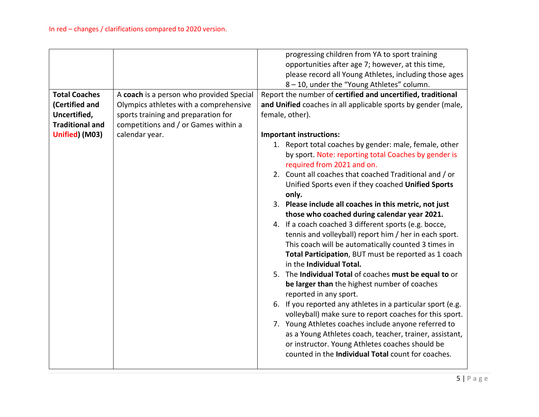|                        |                                          | progressing children from YA to sport training                |
|------------------------|------------------------------------------|---------------------------------------------------------------|
|                        |                                          | opportunities after age 7; however, at this time,             |
|                        |                                          | please record all Young Athletes, including those ages        |
|                        |                                          | 8-10, under the "Young Athletes" column.                      |
| <b>Total Coaches</b>   | A coach is a person who provided Special | Report the number of certified and uncertified, traditional   |
| (Certified and         | Olympics athletes with a comprehensive   | and Unified coaches in all applicable sports by gender (male, |
| Uncertified,           | sports training and preparation for      | female, other).                                               |
| <b>Traditional and</b> | competitions and / or Games within a     |                                                               |
| Unified) (M03)         | calendar year.                           | <b>Important instructions:</b>                                |
|                        |                                          | 1. Report total coaches by gender: male, female, other        |
|                        |                                          | by sport. Note: reporting total Coaches by gender is          |
|                        |                                          | required from 2021 and on.                                    |
|                        |                                          | 2. Count all coaches that coached Traditional and / or        |
|                        |                                          | Unified Sports even if they coached Unified Sports            |
|                        |                                          | only.                                                         |
|                        |                                          | 3. Please include all coaches in this metric, not just        |
|                        |                                          | those who coached during calendar year 2021.                  |
|                        |                                          | 4. If a coach coached 3 different sports (e.g. bocce,         |
|                        |                                          | tennis and volleyball) report him / her in each sport.        |
|                        |                                          | This coach will be automatically counted 3 times in           |
|                        |                                          | Total Participation, BUT must be reported as 1 coach          |
|                        |                                          | in the Individual Total.                                      |
|                        |                                          | 5. The Individual Total of coaches must be equal to or        |
|                        |                                          | be larger than the highest number of coaches                  |
|                        |                                          | reported in any sport.                                        |
|                        |                                          | 6. If you reported any athletes in a particular sport (e.g.   |
|                        |                                          | volleyball) make sure to report coaches for this sport.       |
|                        |                                          | 7. Young Athletes coaches include anyone referred to          |
|                        |                                          | as a Young Athletes coach, teacher, trainer, assistant,       |
|                        |                                          | or instructor. Young Athletes coaches should be               |
|                        |                                          | counted in the <b>Individual Total</b> count for coaches.     |
|                        |                                          |                                                               |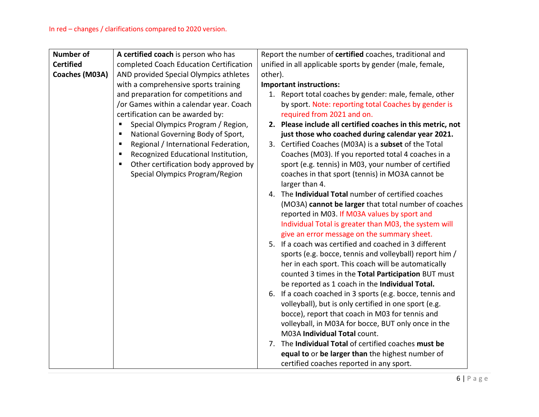| <b>Number of</b> | A certified coach is person who has       | Report the number of certified coaches, traditional and     |
|------------------|-------------------------------------------|-------------------------------------------------------------|
| <b>Certified</b> | completed Coach Education Certification   | unified in all applicable sports by gender (male, female,   |
| Coaches (M03A)   | AND provided Special Olympics athletes    | other).                                                     |
|                  | with a comprehensive sports training      | <b>Important instructions:</b>                              |
|                  | and preparation for competitions and      | 1. Report total coaches by gender: male, female, other      |
|                  | /or Games within a calendar year. Coach   | by sport. Note: reporting total Coaches by gender is        |
|                  | certification can be awarded by:          | required from 2021 and on.                                  |
|                  | Special Olympics Program / Region,        | 2. Please include all certified coaches in this metric, not |
|                  | National Governing Body of Sport,<br>п    | just those who coached during calendar year 2021.           |
|                  | Regional / International Federation,<br>п | 3. Certified Coaches (M03A) is a subset of the Total        |
|                  | Recognized Educational Institution,<br>п  | Coaches (M03). If you reported total 4 coaches in a         |
|                  | Other certification body approved by<br>٠ | sport (e.g. tennis) in M03, your number of certified        |
|                  | Special Olympics Program/Region           | coaches in that sport (tennis) in MO3A cannot be            |
|                  |                                           | larger than 4.                                              |
|                  |                                           | 4. The Individual Total number of certified coaches         |
|                  |                                           | (MO3A) cannot be larger that total number of coaches        |
|                  |                                           | reported in M03. If M03A values by sport and                |
|                  |                                           | Individual Total is greater than M03, the system will       |
|                  |                                           | give an error message on the summary sheet.                 |
|                  |                                           | 5. If a coach was certified and coached in 3 different      |
|                  |                                           | sports (e.g. bocce, tennis and volleyball) report him /     |
|                  |                                           | her in each sport. This coach will be automatically         |
|                  |                                           | counted 3 times in the Total Participation BUT must         |
|                  |                                           | be reported as 1 coach in the Individual Total.             |
|                  |                                           | 6. If a coach coached in 3 sports (e.g. bocce, tennis and   |
|                  |                                           | volleyball), but is only certified in one sport (e.g.       |
|                  |                                           | bocce), report that coach in M03 for tennis and             |
|                  |                                           | volleyball, in M03A for bocce, BUT only once in the         |
|                  |                                           | M03A Individual Total count.                                |
|                  |                                           | 7. The Individual Total of certified coaches must be        |
|                  |                                           | equal to or be larger than the highest number of            |
|                  |                                           | certified coaches reported in any sport.                    |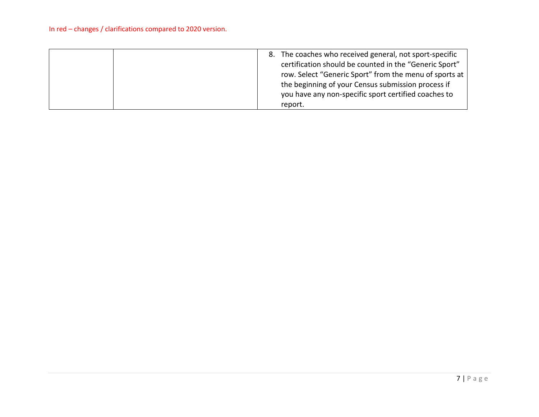| certification should be counted in the "Generic Sport"<br>row. Select "Generic Sport" from the menu of sports at<br>the beginning of your Census submission process if<br>you have any non-specific sport certified coaches to<br>report. |
|-------------------------------------------------------------------------------------------------------------------------------------------------------------------------------------------------------------------------------------------|
|-------------------------------------------------------------------------------------------------------------------------------------------------------------------------------------------------------------------------------------------|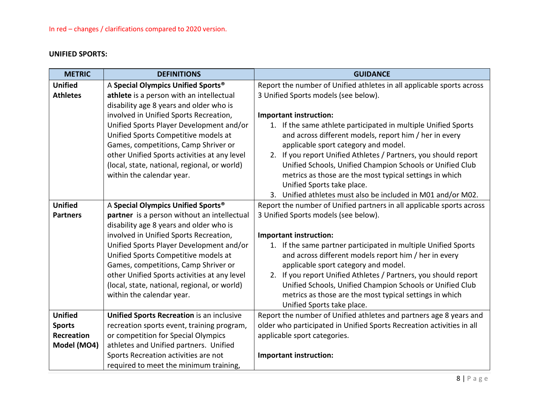# <span id="page-7-0"></span>**UNIFIED SPORTS:**

| <b>METRIC</b>   | <b>DEFINITIONS</b>                                                                 | <b>GUIDANCE</b>                                                                          |
|-----------------|------------------------------------------------------------------------------------|------------------------------------------------------------------------------------------|
| <b>Unified</b>  | A Special Olympics Unified Sports®                                                 | Report the number of Unified athletes in all applicable sports across                    |
| <b>Athletes</b> | athlete is a person with an intellectual                                           | 3 Unified Sports models (see below).                                                     |
|                 | disability age 8 years and older who is                                            |                                                                                          |
|                 | involved in Unified Sports Recreation,                                             | Important instruction:                                                                   |
|                 | Unified Sports Player Development and/or                                           | 1. If the same athlete participated in multiple Unified Sports                           |
|                 | Unified Sports Competitive models at                                               | and across different models, report him / her in every                                   |
|                 | Games, competitions, Camp Shriver or                                               | applicable sport category and model.                                                     |
|                 | other Unified Sports activities at any level                                       | If you report Unified Athletes / Partners, you should report<br>2.                       |
|                 | (local, state, national, regional, or world)                                       | Unified Schools, Unified Champion Schools or Unified Club                                |
|                 | within the calendar year.                                                          | metrics as those are the most typical settings in which                                  |
|                 |                                                                                    | Unified Sports take place.                                                               |
|                 |                                                                                    | Unified athletes must also be included in M01 and/or M02.<br>3.                          |
| <b>Unified</b>  | A Special Olympics Unified Sports®                                                 | Report the number of Unified partners in all applicable sports across                    |
| <b>Partners</b> | partner is a person without an intellectual                                        | 3 Unified Sports models (see below).                                                     |
|                 | disability age 8 years and older who is                                            |                                                                                          |
|                 | involved in Unified Sports Recreation,<br>Unified Sports Player Development and/or | Important instruction:<br>1. If the same partner participated in multiple Unified Sports |
|                 | Unified Sports Competitive models at                                               | and across different models report him / her in every                                    |
|                 | Games, competitions, Camp Shriver or                                               | applicable sport category and model.                                                     |
|                 | other Unified Sports activities at any level                                       | If you report Unified Athletes / Partners, you should report<br>2.                       |
|                 | (local, state, national, regional, or world)                                       | Unified Schools, Unified Champion Schools or Unified Club                                |
|                 | within the calendar year.                                                          | metrics as those are the most typical settings in which                                  |
|                 |                                                                                    | Unified Sports take place.                                                               |
| <b>Unified</b>  | <b>Unified Sports Recreation is an inclusive</b>                                   | Report the number of Unified athletes and partners age 8 years and                       |
| <b>Sports</b>   | recreation sports event, training program,                                         | older who participated in Unified Sports Recreation activities in all                    |
| Recreation      | or competition for Special Olympics                                                | applicable sport categories.                                                             |
| Model (MO4)     | athletes and Unified partners. Unified                                             |                                                                                          |
|                 | Sports Recreation activities are not                                               | <b>Important instruction:</b>                                                            |
|                 | required to meet the minimum training,                                             |                                                                                          |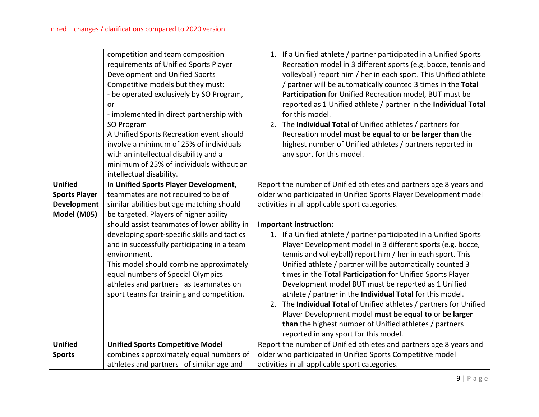|                                                                             | competition and team composition<br>requirements of Unified Sports Player<br>Development and Unified Sports<br>Competitive models but they must:<br>- be operated exclusively by SO Program,<br>or<br>- implemented in direct partnership with<br>SO Program<br>A Unified Sports Recreation event should<br>involve a minimum of 25% of individuals<br>with an intellectual disability and a<br>minimum of 25% of individuals without an<br>intellectual disability. | 1. If a Unified athlete / partner participated in a Unified Sports<br>Recreation model in 3 different sports (e.g. bocce, tennis and<br>volleyball) report him / her in each sport. This Unified athlete<br>/ partner will be automatically counted 3 times in the Total<br>Participation for Unified Recreation model, BUT must be<br>reported as 1 Unified athlete / partner in the Individual Total<br>for this model.<br>2. The Individual Total of Unified athletes / partners for<br>Recreation model must be equal to or be larger than the<br>highest number of Unified athletes / partners reported in<br>any sport for this model.                                                                    |
|-----------------------------------------------------------------------------|----------------------------------------------------------------------------------------------------------------------------------------------------------------------------------------------------------------------------------------------------------------------------------------------------------------------------------------------------------------------------------------------------------------------------------------------------------------------|-----------------------------------------------------------------------------------------------------------------------------------------------------------------------------------------------------------------------------------------------------------------------------------------------------------------------------------------------------------------------------------------------------------------------------------------------------------------------------------------------------------------------------------------------------------------------------------------------------------------------------------------------------------------------------------------------------------------|
| <b>Unified</b><br><b>Sports Player</b><br><b>Development</b><br>Model (M05) | In Unified Sports Player Development,<br>teammates are not required to be of<br>similar abilities but age matching should<br>be targeted. Players of higher ability                                                                                                                                                                                                                                                                                                  | Report the number of Unified athletes and partners age 8 years and<br>older who participated in Unified Sports Player Development model<br>activities in all applicable sport categories.                                                                                                                                                                                                                                                                                                                                                                                                                                                                                                                       |
|                                                                             | should assist teammates of lower ability in<br>developing sport-specific skills and tactics<br>and in successfully participating in a team<br>environment.<br>This model should combine approximately<br>equal numbers of Special Olympics<br>athletes and partners as teammates on<br>sport teams for training and competition.                                                                                                                                     | Important instruction:<br>1. If a Unified athlete / partner participated in a Unified Sports<br>Player Development model in 3 different sports (e.g. bocce,<br>tennis and volleyball) report him / her in each sport. This<br>Unified athlete / partner will be automatically counted 3<br>times in the Total Participation for Unified Sports Player<br>Development model BUT must be reported as 1 Unified<br>athlete / partner in the Individual Total for this model.<br>The Individual Total of Unified athletes / partners for Unified<br>2.<br>Player Development model must be equal to or be larger<br>than the highest number of Unified athletes / partners<br>reported in any sport for this model. |
| <b>Unified</b>                                                              | <b>Unified Sports Competitive Model</b>                                                                                                                                                                                                                                                                                                                                                                                                                              | Report the number of Unified athletes and partners age 8 years and                                                                                                                                                                                                                                                                                                                                                                                                                                                                                                                                                                                                                                              |
| <b>Sports</b>                                                               | combines approximately equal numbers of                                                                                                                                                                                                                                                                                                                                                                                                                              | older who participated in Unified Sports Competitive model                                                                                                                                                                                                                                                                                                                                                                                                                                                                                                                                                                                                                                                      |
|                                                                             | athletes and partners of similar age and                                                                                                                                                                                                                                                                                                                                                                                                                             | activities in all applicable sport categories.                                                                                                                                                                                                                                                                                                                                                                                                                                                                                                                                                                                                                                                                  |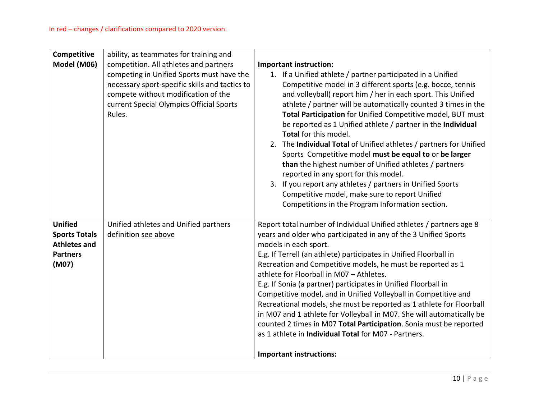| Competitive<br>Model (M06)                                                                | ability, as teammates for training and<br>competition. All athletes and partners<br>competing in Unified Sports must have the<br>necessary sport-specific skills and tactics to<br>compete without modification of the<br>current Special Olympics Official Sports<br>Rules. | Important instruction:<br>1. If a Unified athlete / partner participated in a Unified<br>Competitive model in 3 different sports (e.g. bocce, tennis<br>and volleyball) report him / her in each sport. This Unified<br>athlete / partner will be automatically counted 3 times in the<br>Total Participation for Unified Competitive model, BUT must<br>be reported as 1 Unified athlete / partner in the Individual<br>Total for this model.<br>2. The Individual Total of Unified athletes / partners for Unified<br>Sports Competitive model must be equal to or be larger<br>than the highest number of Unified athletes / partners<br>reported in any sport for this model.<br>If you report any athletes / partners in Unified Sports<br>3.<br>Competitive model, make sure to report Unified<br>Competitions in the Program Information section. |
|-------------------------------------------------------------------------------------------|------------------------------------------------------------------------------------------------------------------------------------------------------------------------------------------------------------------------------------------------------------------------------|----------------------------------------------------------------------------------------------------------------------------------------------------------------------------------------------------------------------------------------------------------------------------------------------------------------------------------------------------------------------------------------------------------------------------------------------------------------------------------------------------------------------------------------------------------------------------------------------------------------------------------------------------------------------------------------------------------------------------------------------------------------------------------------------------------------------------------------------------------|
| <b>Unified</b><br><b>Sports Totals</b><br><b>Athletes and</b><br><b>Partners</b><br>(M07) | Unified athletes and Unified partners<br>definition see above                                                                                                                                                                                                                | Report total number of Individual Unified athletes / partners age 8<br>years and older who participated in any of the 3 Unified Sports<br>models in each sport.<br>E.g. If Terrell (an athlete) participates in Unified Floorball in<br>Recreation and Competitive models, he must be reported as 1<br>athlete for Floorball in M07 - Athletes.<br>E.g. If Sonia (a partner) participates in Unified Floorball in<br>Competitive model, and in Unified Volleyball in Competitive and<br>Recreational models, she must be reported as 1 athlete for Floorball<br>in M07 and 1 athlete for Volleyball in M07. She will automatically be<br>counted 2 times in M07 Total Participation. Sonia must be reported<br>as 1 athlete in <b>Individual Total</b> for M07 - Partners.<br><b>Important instructions:</b>                                             |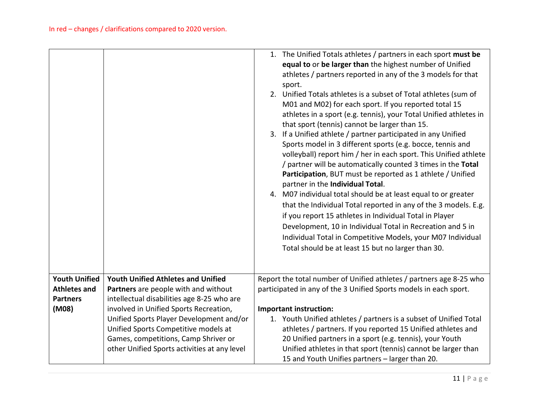|                          |                                                                                    | 1. The Unified Totals athletes / partners in each sport must be<br>equal to or be larger than the highest number of Unified<br>athletes / partners reported in any of the 3 models for that<br>sport.<br>2. Unified Totals athletes is a subset of Total athletes (sum of<br>M01 and M02) for each sport. If you reported total 15<br>athletes in a sport (e.g. tennis), your Total Unified athletes in<br>that sport (tennis) cannot be larger than 15.<br>3. If a Unified athlete / partner participated in any Unified<br>Sports model in 3 different sports (e.g. bocce, tennis and<br>volleyball) report him / her in each sport. This Unified athlete<br>/ partner will be automatically counted 3 times in the Total<br>Participation, BUT must be reported as 1 athlete / Unified<br>partner in the Individual Total.<br>4. M07 individual total should be at least equal to or greater<br>that the Individual Total reported in any of the 3 models. E.g.<br>if you report 15 athletes in Individual Total in Player<br>Development, 10 in Individual Total in Recreation and 5 in<br>Individual Total in Competitive Models, your M07 Individual<br>Total should be at least 15 but no larger than 30. |
|--------------------------|------------------------------------------------------------------------------------|------------------------------------------------------------------------------------------------------------------------------------------------------------------------------------------------------------------------------------------------------------------------------------------------------------------------------------------------------------------------------------------------------------------------------------------------------------------------------------------------------------------------------------------------------------------------------------------------------------------------------------------------------------------------------------------------------------------------------------------------------------------------------------------------------------------------------------------------------------------------------------------------------------------------------------------------------------------------------------------------------------------------------------------------------------------------------------------------------------------------------------------------------------------------------------------------------------------|
| <b>Youth Unified</b>     | <b>Youth Unified Athletes and Unified</b>                                          | Report the total number of Unified athletes / partners age 8-25 who                                                                                                                                                                                                                                                                                                                                                                                                                                                                                                                                                                                                                                                                                                                                                                                                                                                                                                                                                                                                                                                                                                                                              |
| <b>Athletes and</b>      | Partners are people with and without                                               | participated in any of the 3 Unified Sports models in each sport.                                                                                                                                                                                                                                                                                                                                                                                                                                                                                                                                                                                                                                                                                                                                                                                                                                                                                                                                                                                                                                                                                                                                                |
| <b>Partners</b><br>(M08) | intellectual disabilities age 8-25 who are                                         |                                                                                                                                                                                                                                                                                                                                                                                                                                                                                                                                                                                                                                                                                                                                                                                                                                                                                                                                                                                                                                                                                                                                                                                                                  |
|                          | involved in Unified Sports Recreation,<br>Unified Sports Player Development and/or | Important instruction:<br>1. Youth Unified athletes / partners is a subset of Unified Total                                                                                                                                                                                                                                                                                                                                                                                                                                                                                                                                                                                                                                                                                                                                                                                                                                                                                                                                                                                                                                                                                                                      |
|                          | Unified Sports Competitive models at                                               | athletes / partners. If you reported 15 Unified athletes and                                                                                                                                                                                                                                                                                                                                                                                                                                                                                                                                                                                                                                                                                                                                                                                                                                                                                                                                                                                                                                                                                                                                                     |
|                          | Games, competitions, Camp Shriver or                                               | 20 Unified partners in a sport (e.g. tennis), your Youth                                                                                                                                                                                                                                                                                                                                                                                                                                                                                                                                                                                                                                                                                                                                                                                                                                                                                                                                                                                                                                                                                                                                                         |
|                          | other Unified Sports activities at any level                                       | Unified athletes in that sport (tennis) cannot be larger than                                                                                                                                                                                                                                                                                                                                                                                                                                                                                                                                                                                                                                                                                                                                                                                                                                                                                                                                                                                                                                                                                                                                                    |
|                          |                                                                                    | 15 and Youth Unifies partners - larger than 20.                                                                                                                                                                                                                                                                                                                                                                                                                                                                                                                                                                                                                                                                                                                                                                                                                                                                                                                                                                                                                                                                                                                                                                  |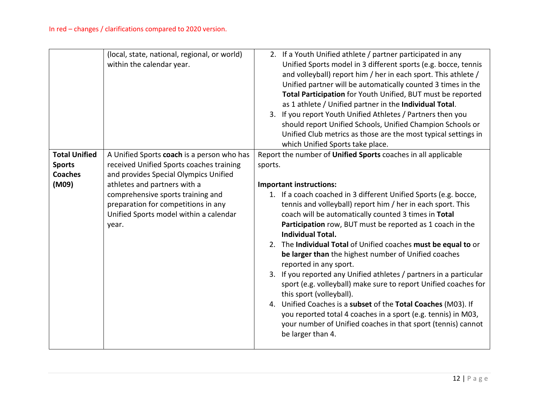|                                                                  | (local, state, national, regional, or world)<br>within the calendar year.                                                                                                                                                                                                                      | 2. If a Youth Unified athlete / partner participated in any<br>Unified Sports model in 3 different sports (e.g. bocce, tennis<br>and volleyball) report him / her in each sport. This athlete /<br>Unified partner will be automatically counted 3 times in the<br>Total Participation for Youth Unified, BUT must be reported<br>as 1 athlete / Unified partner in the Individual Total.<br>3. If you report Youth Unified Athletes / Partners then you<br>should report Unified Schools, Unified Champion Schools or<br>Unified Club metrics as those are the most typical settings in<br>which Unified Sports take place.                                                                                                                                                                                                                                                                                                                   |
|------------------------------------------------------------------|------------------------------------------------------------------------------------------------------------------------------------------------------------------------------------------------------------------------------------------------------------------------------------------------|------------------------------------------------------------------------------------------------------------------------------------------------------------------------------------------------------------------------------------------------------------------------------------------------------------------------------------------------------------------------------------------------------------------------------------------------------------------------------------------------------------------------------------------------------------------------------------------------------------------------------------------------------------------------------------------------------------------------------------------------------------------------------------------------------------------------------------------------------------------------------------------------------------------------------------------------|
| <b>Total Unified</b><br><b>Sports</b><br><b>Coaches</b><br>(M09) | A Unified Sports coach is a person who has<br>received Unified Sports coaches training<br>and provides Special Olympics Unified<br>athletes and partners with a<br>comprehensive sports training and<br>preparation for competitions in any<br>Unified Sports model within a calendar<br>year. | Report the number of Unified Sports coaches in all applicable<br>sports.<br><b>Important instructions:</b><br>1. If a coach coached in 3 different Unified Sports (e.g. bocce,<br>tennis and volleyball) report him / her in each sport. This<br>coach will be automatically counted 3 times in Total<br>Participation row, BUT must be reported as 1 coach in the<br><b>Individual Total.</b><br>2. The Individual Total of Unified coaches must be equal to or<br>be larger than the highest number of Unified coaches<br>reported in any sport.<br>3. If you reported any Unified athletes / partners in a particular<br>sport (e.g. volleyball) make sure to report Unified coaches for<br>this sport (volleyball).<br>4. Unified Coaches is a subset of the Total Coaches (M03). If<br>you reported total 4 coaches in a sport (e.g. tennis) in M03,<br>your number of Unified coaches in that sport (tennis) cannot<br>be larger than 4. |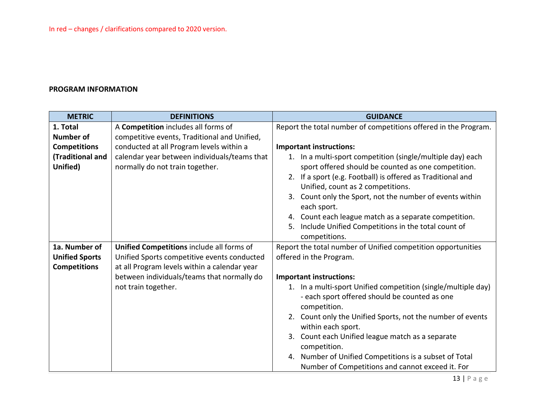## **PROGRAM INFORMATION**

| <b>METRIC</b>         | <b>DEFINITIONS</b>                           | <b>GUIDANCE</b>                                                                                  |
|-----------------------|----------------------------------------------|--------------------------------------------------------------------------------------------------|
| 1. Total              | A Competition includes all forms of          | Report the total number of competitions offered in the Program.                                  |
| <b>Number of</b>      | competitive events, Traditional and Unified, |                                                                                                  |
| <b>Competitions</b>   | conducted at all Program levels within a     | <b>Important instructions:</b>                                                                   |
| (Traditional and      | calendar year between individuals/teams that | 1. In a multi-sport competition (single/multiple day) each                                       |
| Unified)              | normally do not train together.              | sport offered should be counted as one competition.                                              |
|                       |                                              | 2. If a sport (e.g. Football) is offered as Traditional and<br>Unified, count as 2 competitions. |
|                       |                                              | 3. Count only the Sport, not the number of events within                                         |
|                       |                                              | each sport.                                                                                      |
|                       |                                              | 4. Count each league match as a separate competition.                                            |
|                       |                                              | 5. Include Unified Competitions in the total count of                                            |
|                       |                                              | competitions.                                                                                    |
| 1a. Number of         | Unified Competitions include all forms of    | Report the total number of Unified competition opportunities                                     |
| <b>Unified Sports</b> | Unified Sports competitive events conducted  | offered in the Program.                                                                          |
| <b>Competitions</b>   | at all Program levels within a calendar year |                                                                                                  |
|                       | between individuals/teams that normally do   | <b>Important instructions:</b>                                                                   |
|                       | not train together.                          | 1. In a multi-sport Unified competition (single/multiple day)                                    |
|                       |                                              | - each sport offered should be counted as one<br>competition.                                    |
|                       |                                              | 2. Count only the Unified Sports, not the number of events                                       |
|                       |                                              | within each sport.                                                                               |
|                       |                                              | 3. Count each Unified league match as a separate                                                 |
|                       |                                              | competition.                                                                                     |
|                       |                                              | 4. Number of Unified Competitions is a subset of Total                                           |
|                       |                                              | Number of Competitions and cannot exceed it. For                                                 |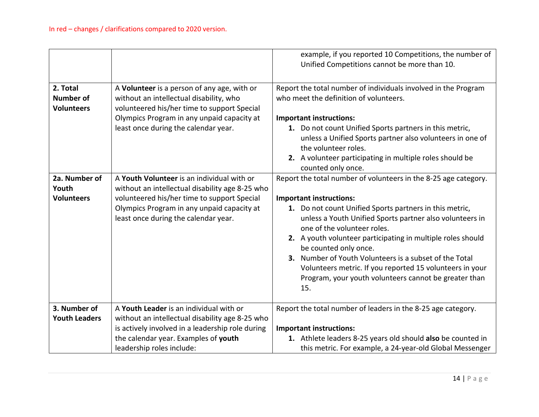|                                                   |                                                                                                                                                                                                                                    | example, if you reported 10 Competitions, the number of<br>Unified Competitions cannot be more than 10.                                                                                                                                                                                                                                                                                                                                                                                                                               |
|---------------------------------------------------|------------------------------------------------------------------------------------------------------------------------------------------------------------------------------------------------------------------------------------|---------------------------------------------------------------------------------------------------------------------------------------------------------------------------------------------------------------------------------------------------------------------------------------------------------------------------------------------------------------------------------------------------------------------------------------------------------------------------------------------------------------------------------------|
| 2. Total<br><b>Number of</b><br><b>Volunteers</b> | A Volunteer is a person of any age, with or<br>without an intellectual disability, who<br>volunteered his/her time to support Special<br>Olympics Program in any unpaid capacity at<br>least once during the calendar year.        | Report the total number of individuals involved in the Program<br>who meet the definition of volunteers.<br><b>Important instructions:</b><br>1. Do not count Unified Sports partners in this metric,<br>unless a Unified Sports partner also volunteers in one of<br>the volunteer roles.<br>2. A volunteer participating in multiple roles should be<br>counted only once.                                                                                                                                                          |
| 2a. Number of<br>Youth<br><b>Volunteers</b>       | A Youth Volunteer is an individual with or<br>without an intellectual disability age 8-25 who<br>volunteered his/her time to support Special<br>Olympics Program in any unpaid capacity at<br>least once during the calendar year. | Report the total number of volunteers in the 8-25 age category.<br><b>Important instructions:</b><br>1. Do not count Unified Sports partners in this metric,<br>unless a Youth Unified Sports partner also volunteers in<br>one of the volunteer roles.<br>2. A youth volunteer participating in multiple roles should<br>be counted only once.<br>3. Number of Youth Volunteers is a subset of the Total<br>Volunteers metric. If you reported 15 volunteers in your<br>Program, your youth volunteers cannot be greater than<br>15. |
| 3. Number of<br><b>Youth Leaders</b>              | A Youth Leader is an individual with or<br>without an intellectual disability age 8-25 who<br>is actively involved in a leadership role during<br>the calendar year. Examples of youth<br>leadership roles include:                | Report the total number of leaders in the 8-25 age category.<br><b>Important instructions:</b><br>1. Athlete leaders 8-25 years old should also be counted in<br>this metric. For example, a 24-year-old Global Messenger                                                                                                                                                                                                                                                                                                             |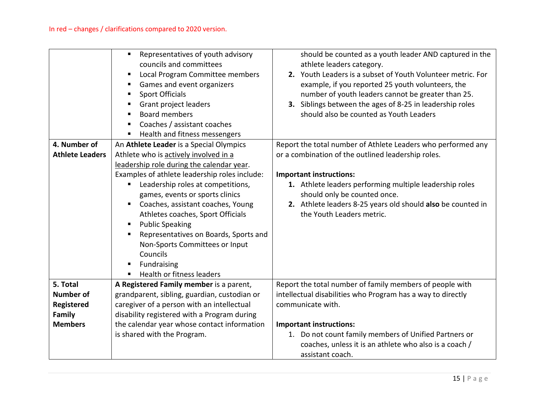|                                                                        | Representatives of youth advisory<br>$\blacksquare$<br>councils and committees<br>Local Program Committee members<br>Е<br>Games and event organizers<br>п<br><b>Sport Officials</b><br>Е<br>Grant project leaders<br><b>Board members</b><br>Coaches / assistant coaches<br>٠<br>Health and fitness messengers<br>Е                                                                                                                                                                                               | should be counted as a youth leader AND captured in the<br>athlete leaders category.<br>2. Youth Leaders is a subset of Youth Volunteer metric. For<br>example, if you reported 25 youth volunteers, the<br>number of youth leaders cannot be greater than 25.<br>3. Siblings between the ages of 8-25 in leadership roles<br>should also be counted as Youth Leaders |
|------------------------------------------------------------------------|-------------------------------------------------------------------------------------------------------------------------------------------------------------------------------------------------------------------------------------------------------------------------------------------------------------------------------------------------------------------------------------------------------------------------------------------------------------------------------------------------------------------|-----------------------------------------------------------------------------------------------------------------------------------------------------------------------------------------------------------------------------------------------------------------------------------------------------------------------------------------------------------------------|
| 4. Number of<br><b>Athlete Leaders</b>                                 | An Athlete Leader is a Special Olympics<br>Athlete who is actively involved in a<br>leadership role during the calendar year.<br>Examples of athlete leadership roles include:<br>Leadership roles at competitions,<br>п<br>games, events or sports clinics<br>Coaches, assistant coaches, Young<br>Athletes coaches, Sport Officials<br><b>Public Speaking</b><br>Е<br>Representatives on Boards, Sports and<br>٠<br>Non-Sports Committees or Input<br>Councils<br>Fundraising<br>п<br>Health or fitness leaders | Report the total number of Athlete Leaders who performed any<br>or a combination of the outlined leadership roles.<br><b>Important instructions:</b><br>1. Athlete leaders performing multiple leadership roles<br>should only be counted once.<br>2. Athlete leaders 8-25 years old should also be counted in<br>the Youth Leaders metric.                           |
| 5. Total<br><b>Number of</b><br>Registered<br>Family<br><b>Members</b> | A Registered Family member is a parent,<br>grandparent, sibling, guardian, custodian or<br>caregiver of a person with an intellectual<br>disability registered with a Program during<br>the calendar year whose contact information<br>is shared with the Program.                                                                                                                                                                                                                                                | Report the total number of family members of people with<br>intellectual disabilities who Program has a way to directly<br>communicate with.<br><b>Important instructions:</b><br>1. Do not count family members of Unified Partners or<br>coaches, unless it is an athlete who also is a coach /<br>assistant coach.                                                 |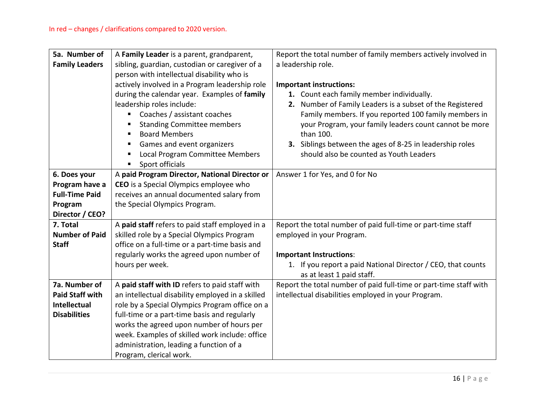| 5a. Number of<br><b>Family Leaders</b> | A Family Leader is a parent, grandparent,<br>sibling, guardian, custodian or caregiver of a<br>person with intellectual disability who is<br>actively involved in a Program leadership role<br>during the calendar year. Examples of family<br>leadership roles include: | Report the total number of family members actively involved in<br>a leadership role.<br><b>Important instructions:</b><br>1. Count each family member individually.<br>2. Number of Family Leaders is a subset of the Registered |
|----------------------------------------|--------------------------------------------------------------------------------------------------------------------------------------------------------------------------------------------------------------------------------------------------------------------------|----------------------------------------------------------------------------------------------------------------------------------------------------------------------------------------------------------------------------------|
|                                        | Coaches / assistant coaches<br><b>Standing Committee members</b><br>$\blacksquare$                                                                                                                                                                                       | Family members. If you reported 100 family members in<br>your Program, your family leaders count cannot be more                                                                                                                  |
|                                        | <b>Board Members</b><br>$\blacksquare$<br>Games and event organizers<br>$\blacksquare$<br>Local Program Committee Members<br>Е<br>Sport officials<br>п.                                                                                                                  | than 100.<br>3. Siblings between the ages of 8-25 in leadership roles<br>should also be counted as Youth Leaders                                                                                                                 |
| 6. Does your                           | A paid Program Director, National Director or                                                                                                                                                                                                                            | Answer 1 for Yes, and 0 for No                                                                                                                                                                                                   |
| Program have a                         | CEO is a Special Olympics employee who                                                                                                                                                                                                                                   |                                                                                                                                                                                                                                  |
| <b>Full-Time Paid</b>                  | receives an annual documented salary from                                                                                                                                                                                                                                |                                                                                                                                                                                                                                  |
| Program                                | the Special Olympics Program.                                                                                                                                                                                                                                            |                                                                                                                                                                                                                                  |
| Director / CEO?                        |                                                                                                                                                                                                                                                                          |                                                                                                                                                                                                                                  |
| 7. Total                               | A paid staff refers to paid staff employed in a                                                                                                                                                                                                                          | Report the total number of paid full-time or part-time staff                                                                                                                                                                     |
| <b>Number of Paid</b>                  | skilled role by a Special Olympics Program                                                                                                                                                                                                                               | employed in your Program.                                                                                                                                                                                                        |
| <b>Staff</b>                           | office on a full-time or a part-time basis and                                                                                                                                                                                                                           |                                                                                                                                                                                                                                  |
|                                        | regularly works the agreed upon number of                                                                                                                                                                                                                                | <b>Important Instructions:</b>                                                                                                                                                                                                   |
|                                        | hours per week.                                                                                                                                                                                                                                                          | 1. If you report a paid National Director / CEO, that counts<br>as at least 1 paid staff.                                                                                                                                        |
| 7a. Number of                          | A paid staff with ID refers to paid staff with                                                                                                                                                                                                                           | Report the total number of paid full-time or part-time staff with                                                                                                                                                                |
| <b>Paid Staff with</b>                 | an intellectual disability employed in a skilled                                                                                                                                                                                                                         | intellectual disabilities employed in your Program.                                                                                                                                                                              |
| Intellectual                           | role by a Special Olympics Program office on a                                                                                                                                                                                                                           |                                                                                                                                                                                                                                  |
| <b>Disabilities</b>                    | full-time or a part-time basis and regularly                                                                                                                                                                                                                             |                                                                                                                                                                                                                                  |
|                                        | works the agreed upon number of hours per                                                                                                                                                                                                                                |                                                                                                                                                                                                                                  |
|                                        | week. Examples of skilled work include: office                                                                                                                                                                                                                           |                                                                                                                                                                                                                                  |
|                                        | administration, leading a function of a                                                                                                                                                                                                                                  |                                                                                                                                                                                                                                  |
|                                        | Program, clerical work.                                                                                                                                                                                                                                                  |                                                                                                                                                                                                                                  |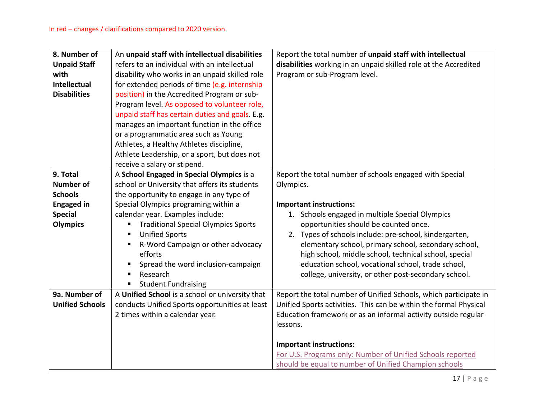| 8. Number of           | An unpaid staff with intellectual disabilities      | Report the total number of unpaid staff with intellectual         |
|------------------------|-----------------------------------------------------|-------------------------------------------------------------------|
| <b>Unpaid Staff</b>    | refers to an individual with an intellectual        | disabilities working in an unpaid skilled role at the Accredited  |
| with                   | disability who works in an unpaid skilled role      | Program or sub-Program level.                                     |
| <b>Intellectual</b>    | for extended periods of time (e.g. internship       |                                                                   |
| <b>Disabilities</b>    | position) in the Accredited Program or sub-         |                                                                   |
|                        | Program level. As opposed to volunteer role,        |                                                                   |
|                        | unpaid staff has certain duties and goals. E.g.     |                                                                   |
|                        | manages an important function in the office         |                                                                   |
|                        | or a programmatic area such as Young                |                                                                   |
|                        | Athletes, a Healthy Athletes discipline,            |                                                                   |
|                        | Athlete Leadership, or a sport, but does not        |                                                                   |
|                        | receive a salary or stipend.                        |                                                                   |
| 9. Total               | A School Engaged in Special Olympics is a           | Report the total number of schools engaged with Special           |
| <b>Number of</b>       | school or University that offers its students       | Olympics.                                                         |
| <b>Schools</b>         | the opportunity to engage in any type of            |                                                                   |
| <b>Engaged in</b>      | Special Olympics programing within a                | <b>Important instructions:</b>                                    |
| <b>Special</b>         | calendar year. Examples include:                    | 1. Schools engaged in multiple Special Olympics                   |
| <b>Olympics</b>        | <b>Traditional Special Olympics Sports</b><br>п     | opportunities should be counted once.                             |
|                        | <b>Unified Sports</b><br>п                          | 2. Types of schools include: pre-school, kindergarten,            |
|                        | R-Word Campaign or other advocacy<br>$\blacksquare$ | elementary school, primary school, secondary school,              |
|                        | efforts                                             | high school, middle school, technical school, special             |
|                        | Spread the word inclusion-campaign<br>п             | education school, vocational school, trade school,                |
|                        | Research<br>п                                       | college, university, or other post-secondary school.              |
|                        | <b>Student Fundraising</b><br>п                     |                                                                   |
| 9a. Number of          | A Unified School is a school or university that     | Report the total number of Unified Schools, which participate in  |
| <b>Unified Schools</b> | conducts Unified Sports opportunities at least      | Unified Sports activities. This can be within the formal Physical |
|                        | 2 times within a calendar year.                     | Education framework or as an informal activity outside regular    |
|                        |                                                     | lessons.                                                          |
|                        |                                                     |                                                                   |
|                        |                                                     | <b>Important instructions:</b>                                    |
|                        |                                                     | For U.S. Programs only: Number of Unified Schools reported        |
|                        |                                                     | should be equal to number of Unified Champion schools             |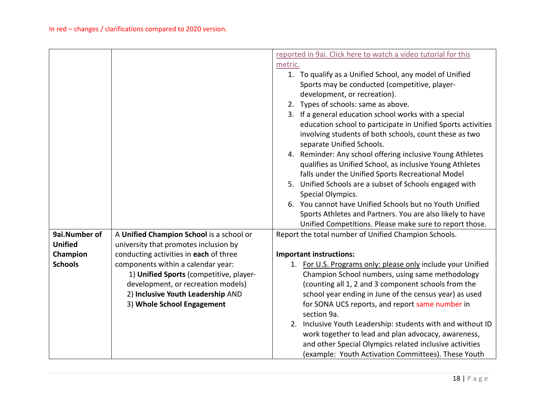|                |                                          | reported in 9ai. Click here to watch a video tutorial for this                      |
|----------------|------------------------------------------|-------------------------------------------------------------------------------------|
|                |                                          | metric.                                                                             |
|                |                                          | 1. To qualify as a Unified School, any model of Unified                             |
|                |                                          | Sports may be conducted (competitive, player-                                       |
|                |                                          | development, or recreation).                                                        |
|                |                                          | 2. Types of schools: same as above.                                                 |
|                |                                          | 3. If a general education school works with a special                               |
|                |                                          | education school to participate in Unified Sports activities                        |
|                |                                          | involving students of both schools, count these as two<br>separate Unified Schools. |
|                |                                          | 4. Reminder: Any school offering inclusive Young Athletes                           |
|                |                                          | qualifies as Unified School, as inclusive Young Athletes                            |
|                |                                          | falls under the Unified Sports Recreational Model                                   |
|                |                                          | 5. Unified Schools are a subset of Schools engaged with                             |
|                |                                          | Special Olympics.                                                                   |
|                |                                          | 6. You cannot have Unified Schools but no Youth Unified                             |
|                |                                          | Sports Athletes and Partners. You are also likely to have                           |
|                |                                          | Unified Competitions. Please make sure to report those.                             |
| 9ai.Number of  | A Unified Champion School is a school or | Report the total number of Unified Champion Schools.                                |
| <b>Unified</b> | university that promotes inclusion by    |                                                                                     |
| Champion       | conducting activities in each of three   | <b>Important instructions:</b>                                                      |
| <b>Schools</b> | components within a calendar year:       | 1. For U.S. Programs only: please only include your Unified                         |
|                | 1) Unified Sports (competitive, player-  | Champion School numbers, using same methodology                                     |
|                | development, or recreation models)       | (counting all 1, 2 and 3 component schools from the                                 |
|                | 2) Inclusive Youth Leadership AND        | school year ending in June of the census year) as used                              |
|                | 3) Whole School Engagement               | for SONA UCS reports, and report same number in                                     |
|                |                                          | section 9a.                                                                         |
|                |                                          | 2. Inclusive Youth Leadership: students with and without ID                         |
|                |                                          | work together to lead and plan advocacy, awareness,                                 |
|                |                                          | and other Special Olympics related inclusive activities                             |
|                |                                          | (example: Youth Activation Committees). These Youth                                 |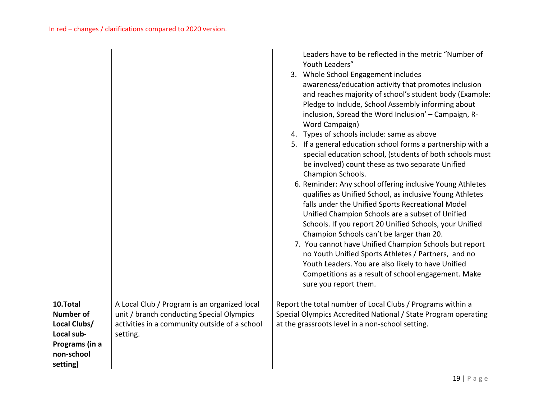|                  |                                               | Leaders have to be reflected in the metric "Number of<br>Youth Leaders"<br>3. Whole School Engagement includes<br>awareness/education activity that promotes inclusion<br>and reaches majority of school's student body (Example:<br>Pledge to Include, School Assembly informing about<br>inclusion, Spread the Word Inclusion' - Campaign, R-<br>Word Campaign)<br>4. Types of schools include: same as above<br>5. If a general education school forms a partnership with a<br>special education school, (students of both schools must<br>be involved) count these as two separate Unified<br>Champion Schools.<br>6. Reminder: Any school offering inclusive Young Athletes<br>qualifies as Unified School, as inclusive Young Athletes<br>falls under the Unified Sports Recreational Model<br>Unified Champion Schools are a subset of Unified<br>Schools. If you report 20 Unified Schools, your Unified<br>Champion Schools can't be larger than 20.<br>7. You cannot have Unified Champion Schools but report<br>no Youth Unified Sports Athletes / Partners, and no<br>Youth Leaders. You are also likely to have Unified<br>Competitions as a result of school engagement. Make<br>sure you report them. |
|------------------|-----------------------------------------------|----------------------------------------------------------------------------------------------------------------------------------------------------------------------------------------------------------------------------------------------------------------------------------------------------------------------------------------------------------------------------------------------------------------------------------------------------------------------------------------------------------------------------------------------------------------------------------------------------------------------------------------------------------------------------------------------------------------------------------------------------------------------------------------------------------------------------------------------------------------------------------------------------------------------------------------------------------------------------------------------------------------------------------------------------------------------------------------------------------------------------------------------------------------------------------------------------------------------|
| 10.Total         | A Local Club / Program is an organized local  | Report the total number of Local Clubs / Programs within a                                                                                                                                                                                                                                                                                                                                                                                                                                                                                                                                                                                                                                                                                                                                                                                                                                                                                                                                                                                                                                                                                                                                                           |
| <b>Number of</b> | unit / branch conducting Special Olympics     | Special Olympics Accredited National / State Program operating                                                                                                                                                                                                                                                                                                                                                                                                                                                                                                                                                                                                                                                                                                                                                                                                                                                                                                                                                                                                                                                                                                                                                       |
| Local Clubs/     | activities in a community outside of a school | at the grassroots level in a non-school setting.                                                                                                                                                                                                                                                                                                                                                                                                                                                                                                                                                                                                                                                                                                                                                                                                                                                                                                                                                                                                                                                                                                                                                                     |
| Local sub-       | setting.                                      |                                                                                                                                                                                                                                                                                                                                                                                                                                                                                                                                                                                                                                                                                                                                                                                                                                                                                                                                                                                                                                                                                                                                                                                                                      |
| Programs (in a   |                                               |                                                                                                                                                                                                                                                                                                                                                                                                                                                                                                                                                                                                                                                                                                                                                                                                                                                                                                                                                                                                                                                                                                                                                                                                                      |
| non-school       |                                               |                                                                                                                                                                                                                                                                                                                                                                                                                                                                                                                                                                                                                                                                                                                                                                                                                                                                                                                                                                                                                                                                                                                                                                                                                      |
| setting)         |                                               |                                                                                                                                                                                                                                                                                                                                                                                                                                                                                                                                                                                                                                                                                                                                                                                                                                                                                                                                                                                                                                                                                                                                                                                                                      |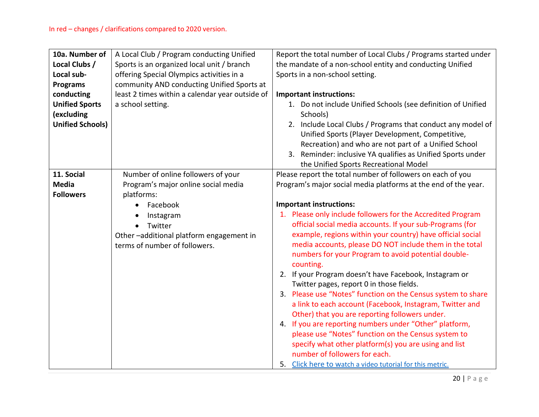| 10a. Number of          | A Local Club / Program conducting Unified       | Report the total number of Local Clubs / Programs started under |
|-------------------------|-------------------------------------------------|-----------------------------------------------------------------|
| Local Clubs /           | Sports is an organized local unit / branch      | the mandate of a non-school entity and conducting Unified       |
| Local sub-              | offering Special Olympics activities in a       | Sports in a non-school setting.                                 |
| <b>Programs</b>         | community AND conducting Unified Sports at      |                                                                 |
| conducting              | least 2 times within a calendar year outside of | <b>Important instructions:</b>                                  |
| <b>Unified Sports</b>   | a school setting.                               | 1. Do not include Unified Schools (see definition of Unified    |
| (excluding              |                                                 | Schools)                                                        |
| <b>Unified Schools)</b> |                                                 | 2. Include Local Clubs / Programs that conduct any model of     |
|                         |                                                 | Unified Sports (Player Development, Competitive,                |
|                         |                                                 | Recreation) and who are not part of a Unified School            |
|                         |                                                 | 3. Reminder: inclusive YA qualifies as Unified Sports under     |
|                         |                                                 | the Unified Sports Recreational Model                           |
| 11. Social              | Number of online followers of your              | Please report the total number of followers on each of you      |
| <b>Media</b>            | Program's major online social media             | Program's major social media platforms at the end of the year.  |
| <b>Followers</b>        | platforms:                                      |                                                                 |
|                         | Facebook                                        | <b>Important instructions:</b>                                  |
|                         | Instagram                                       | 1. Please only include followers for the Accredited Program     |
|                         | Twitter                                         | official social media accounts. If your sub-Programs (for       |
|                         | Other-additional platform engagement in         | example, regions within your country) have official social      |
|                         | terms of number of followers.                   | media accounts, please DO NOT include them in the total         |
|                         |                                                 | numbers for your Program to avoid potential double-             |
|                         |                                                 | counting.                                                       |
|                         |                                                 | 2. If your Program doesn't have Facebook, Instagram or          |
|                         |                                                 | Twitter pages, report 0 in those fields.                        |
|                         |                                                 | 3. Please use "Notes" function on the Census system to share    |
|                         |                                                 | a link to each account (Facebook, Instagram, Twitter and        |
|                         |                                                 | Other) that you are reporting followers under.                  |
|                         |                                                 | 4. If you are reporting numbers under "Other" platform,         |
|                         |                                                 | please use "Notes" function on the Census system to             |
|                         |                                                 | specify what other platform(s) you are using and list           |
|                         |                                                 | number of followers for each.                                   |
|                         |                                                 | 5. Click here to watch a video tutorial for this metric.        |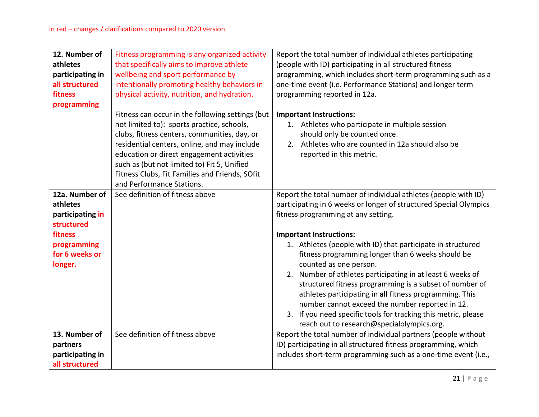| 12. Number of<br>athletes<br>participating in<br>all structured<br>fitness<br>programming                           | Fitness programming is any organized activity<br>that specifically aims to improve athlete<br>wellbeing and sport performance by<br>intentionally promoting healthy behaviors in<br>physical activity, nutrition, and hydration.                                                                                                                                          | Report the total number of individual athletes participating<br>(people with ID) participating in all structured fitness<br>programming, which includes short-term programming such as a<br>one-time event (i.e. Performance Stations) and longer term<br>programming reported in 12a.                                                                                                                                                                                                                                                                                                                                                                                                                             |
|---------------------------------------------------------------------------------------------------------------------|---------------------------------------------------------------------------------------------------------------------------------------------------------------------------------------------------------------------------------------------------------------------------------------------------------------------------------------------------------------------------|--------------------------------------------------------------------------------------------------------------------------------------------------------------------------------------------------------------------------------------------------------------------------------------------------------------------------------------------------------------------------------------------------------------------------------------------------------------------------------------------------------------------------------------------------------------------------------------------------------------------------------------------------------------------------------------------------------------------|
|                                                                                                                     | Fitness can occur in the following settings (but<br>not limited to): sports practice, schools,<br>clubs, fitness centers, communities, day, or<br>residential centers, online, and may include<br>education or direct engagement activities<br>such as (but not limited to) Fit 5, Unified<br>Fitness Clubs, Fit Families and Friends, SOfit<br>and Performance Stations. | <b>Important Instructions:</b><br>1. Athletes who participate in multiple session<br>should only be counted once.<br>2. Athletes who are counted in 12a should also be<br>reported in this metric.                                                                                                                                                                                                                                                                                                                                                                                                                                                                                                                 |
| 12a. Number of<br>athletes<br>participating in<br>structured<br>fitness<br>programming<br>for 6 weeks or<br>longer. | See definition of fitness above                                                                                                                                                                                                                                                                                                                                           | Report the total number of individual athletes (people with ID)<br>participating in 6 weeks or longer of structured Special Olympics<br>fitness programming at any setting.<br><b>Important Instructions:</b><br>1. Athletes (people with ID) that participate in structured<br>fitness programming longer than 6 weeks should be<br>counted as one person.<br>2. Number of athletes participating in at least 6 weeks of<br>structured fitness programming is a subset of number of<br>athletes participating in all fitness programming. This<br>number cannot exceed the number reported in 12.<br>3. If you need specific tools for tracking this metric, please<br>reach out to research@specialolympics.org. |
| 13. Number of<br>partners<br>participating in<br>all structured                                                     | See definition of fitness above                                                                                                                                                                                                                                                                                                                                           | Report the total number of individual partners (people without<br>ID) participating in all structured fitness programming, which<br>includes short-term programming such as a one-time event (i.e.,                                                                                                                                                                                                                                                                                                                                                                                                                                                                                                                |